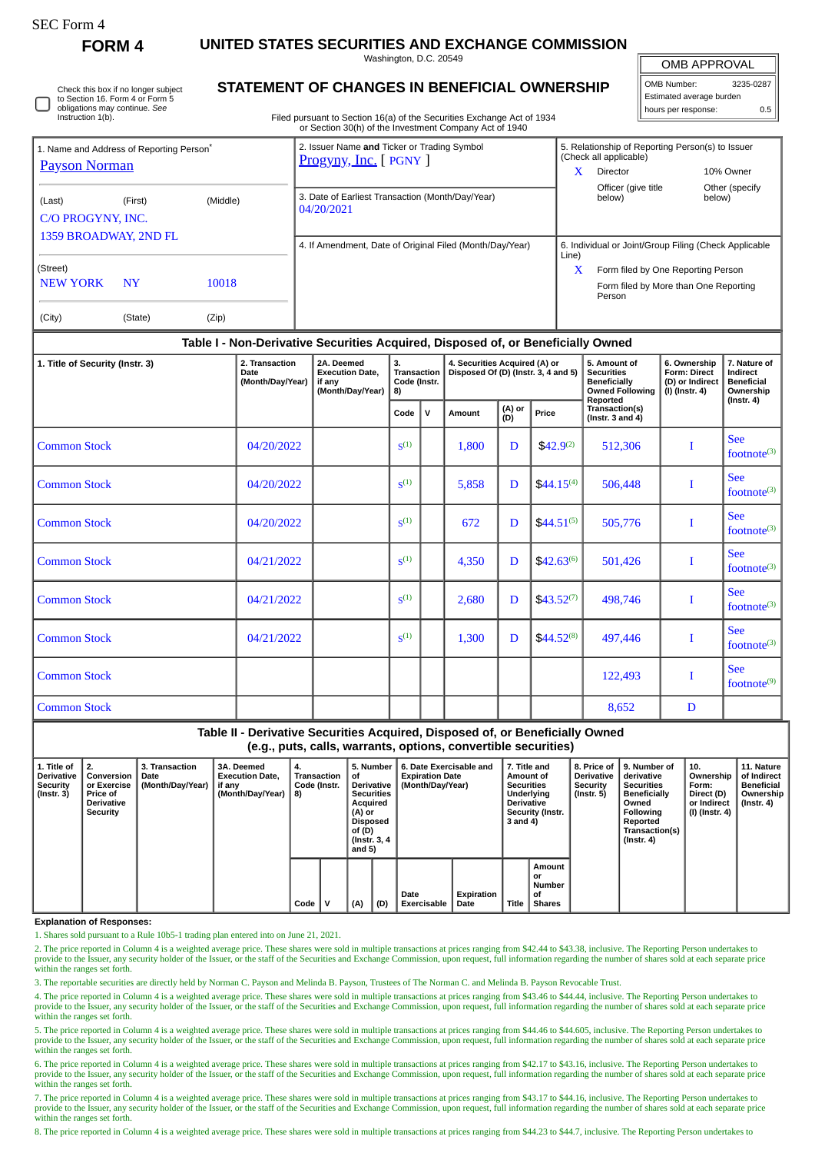# SEC Form 4

**FORM 4 UNITED STATES SECURITIES AND EXCHANGE COMMISSION**

Washington, D.C. 20549

OMB APPROVAL

Ш

| OMB Number:              | 3235-0287 |  |  |  |  |  |  |  |
|--------------------------|-----------|--|--|--|--|--|--|--|
| Estimated average burden |           |  |  |  |  |  |  |  |
| hours per response:      | 0.5       |  |  |  |  |  |  |  |

Check this box if no longer subject to Section 16. Form 4 or Form 5 obligations may continue. *See* Instruction 1(b).

## **STATEMENT OF CHANGES IN BENEFICIAL OWNERSHIP**

Filed pursuant to Section 16(a) of the Securities Exchange Act of 1934 or Section 30(h) of the Investment Company Act of 1940

|                             | 1. Name and Address of Reporting Person <sup>®</sup> |       | 2. Issuer Name and Ticker or Trading Symbol<br><b>Progyny, Inc.</b> [ PGNY ] | 5. Relationship of Reporting Person(s) to Issuer<br>(Check all applicable)                 |  |  |  |  |  |
|-----------------------------|------------------------------------------------------|-------|------------------------------------------------------------------------------|--------------------------------------------------------------------------------------------|--|--|--|--|--|
| <b>Payson Norman</b>        |                                                      |       |                                                                              | x<br>10% Owner<br><b>Director</b>                                                          |  |  |  |  |  |
| (Last)                      | (Middle)<br>(First)<br>C/O PROGYNY, INC.             |       | 3. Date of Earliest Transaction (Month/Day/Year)<br>04/20/2021               | Officer (give title<br>Other (specify<br>below)<br>below)                                  |  |  |  |  |  |
| 1359 BROADWAY, 2ND FL       |                                                      |       | 4. If Amendment, Date of Original Filed (Month/Day/Year)                     | 6. Individual or Joint/Group Filing (Check Applicable<br>Line)                             |  |  |  |  |  |
| (Street)<br><b>NEW YORK</b> | <b>NY</b>                                            | 10018 |                                                                              | X<br>Form filed by One Reporting Person<br>Form filed by More than One Reporting<br>Person |  |  |  |  |  |
| (City)                      | (State)                                              | (Zip) |                                                                              |                                                                                            |  |  |  |  |  |

## **Table I - Non-Derivative Securities Acquired, Disposed of, or Beneficially Owned**

| 1. Title of Security (Instr. 3) | 2. Transaction<br>Date<br>(Month/Day/Year) | 2A. Deemed<br><b>Execution Date,</b><br>if any<br>(Month/Day/Year) | 3.<br>Transaction<br>Code (Instr.<br>8) |              | 4. Securities Acquired (A) or<br>Disposed Of (D) (Instr. 3, 4 and 5) |               |                | 5. Amount of<br><b>Securities</b><br><b>Beneficially</b><br><b>Owned Following</b> | 6. Ownership<br>Form: Direct<br>(D) or Indirect<br>(I) (Instr. 4) | 7. Nature of<br>Indirect<br><b>Beneficial</b><br>Ownership |
|---------------------------------|--------------------------------------------|--------------------------------------------------------------------|-----------------------------------------|--------------|----------------------------------------------------------------------|---------------|----------------|------------------------------------------------------------------------------------|-------------------------------------------------------------------|------------------------------------------------------------|
|                                 |                                            |                                                                    | Code                                    | $\mathsf{v}$ | Amount                                                               | (A) or<br>(D) | Price          | Reported<br>Transaction(s)<br>(Instr. $3$ and $4$ )                                |                                                                   | $($ Instr. 4 $)$                                           |
| <b>Common Stock</b>             | 04/20/2022                                 |                                                                    | S <sup>(1)</sup>                        |              | 1,800                                                                | D             | $$42.9^{(2)}$  | 512,306                                                                            | I                                                                 | <b>See</b><br>footnot $e^{(3)}$                            |
| <b>Common Stock</b>             | 04/20/2022                                 |                                                                    | S <sup>(1)</sup>                        |              | 5,858                                                                | D             | $$44.15^{(4)}$ | 506,448                                                                            |                                                                   | See<br>footnote(3)                                         |
| <b>Common Stock</b>             | 04/20/2022                                 |                                                                    | S <sup>(1)</sup>                        |              | 672                                                                  | D             | $$44.51^{(5)}$ | 505,776                                                                            | I                                                                 | <b>See</b><br>footnote(3)                                  |
| <b>Common Stock</b>             | 04/21/2022                                 |                                                                    | S <sup>(1)</sup>                        |              | 4,350                                                                | D             | $$42.63^{(6)}$ | 501,426                                                                            | I                                                                 | <b>See</b><br>footnot $e^{(3)}$                            |
| <b>Common Stock</b>             | 04/21/2022                                 |                                                                    | S <sup>(1)</sup>                        |              | 2,680                                                                | D             | $$43.52^{(7)}$ | 498,746                                                                            | I                                                                 | <b>See</b><br>footnote <sup>(3)</sup>                      |
| <b>Common Stock</b>             | 04/21/2022                                 |                                                                    | S <sup>(1)</sup>                        |              | 1,300                                                                | D             | $$44.52^{(8)}$ | 497,446                                                                            | I                                                                 | <b>See</b><br>footnote <sup>(3)</sup>                      |
| <b>Common Stock</b>             |                                            |                                                                    |                                         |              |                                                                      |               |                | 122,493                                                                            | I                                                                 | See<br>footnot $e^{(9)}$                                   |
| <b>Common Stock</b>             |                                            |                                                                    |                                         |              |                                                                      |               |                | 8,652                                                                              | D                                                                 |                                                            |

**Table II - Derivative Securities Acquired, Disposed of, or Beneficially Owned (e.g., puts, calls, warrants, options, convertible securities)**

| 1. Title of<br><b>Derivative</b><br><b>Security</b><br>$($ Instr. 3 $)$ | l 2.<br>Conversion<br>or Exercise<br><b>Price of</b><br>Derivative<br>Security | 3. Transaction<br>Date<br>(Month/Day/Year) | 3A. Deemed<br><b>Execution Date,</b><br>if anv<br>(Month/Day/Year) | 4.<br>8) | Transaction<br>οf<br>Code (Instr.<br>(A) or<br>of (D) |     | 5. Number<br>Derivative<br><b>Securities</b><br>Acquired<br>Disposed<br>(Instr. 3, 4)<br>and 5) | 6. Date Exercisable and<br><b>Expiration Date</b><br>(Month/Day/Year) |                    | 7. Title and<br>Amount of<br><b>Securities</b><br>Underlying<br><b>Derivative</b><br>Security (Instr.<br>3 and 4) |                                               | 8. Price of<br><b>Derivative</b><br>Security<br>$($ Instr. 5 $)$ | 9. Number of<br>derivative<br><b>Securities</b><br><b>Beneficially</b><br>Owned<br>Following<br>Reported<br>Transaction(s)<br>(Instr. 4) | 10.<br>Ownership<br>Form:<br>Direct (D)<br>or Indirect<br>(I) (Instr. 4) | 11. Nature<br>of Indirect<br><b>Beneficial</b><br>Ownership<br>(Instr. 4) |
|-------------------------------------------------------------------------|--------------------------------------------------------------------------------|--------------------------------------------|--------------------------------------------------------------------|----------|-------------------------------------------------------|-----|-------------------------------------------------------------------------------------------------|-----------------------------------------------------------------------|--------------------|-------------------------------------------------------------------------------------------------------------------|-----------------------------------------------|------------------------------------------------------------------|------------------------------------------------------------------------------------------------------------------------------------------|--------------------------------------------------------------------------|---------------------------------------------------------------------------|
|                                                                         |                                                                                |                                            |                                                                    | Code     |                                                       | (A) | (D)                                                                                             | Date<br><b>Exercisable</b>                                            | Expiration<br>Date | <b>Title</b>                                                                                                      | Amount<br>or<br>Number<br>0f<br><b>Shares</b> |                                                                  |                                                                                                                                          |                                                                          |                                                                           |

### **Explanation of Responses:**

1. Shares sold pursuant to a Rule 10b5-1 trading plan entered into on June 21, 2021.

2. The price reported in Column 4 is a weighted average price. These shares were sold in multiple transactions at prices ranging from \$42.44 to \$43.38, inclusive. The Reporting Person undertakes to provide to the Issuer, any security holder of the Issuer, or the staff of the Securities and Exchange Commission, upon request, full information regarding the number of shares sold at each separate price within the ranges set forth.

3. The reportable securities are directly held by Norman C. Payson and Melinda B. Payson, Trustees of The Norman C. and Melinda B. Payson Revocable Trust.

4. The price reported in Column 4 is a weighted average price. These shares were sold in multiple transactions at prices ranging from \$43.46 to \$44.44, inclusive. The Reporting Person undertakes to<br>provide to the Issuer, a within the ranges set forth.

5. The price reported in Column 4 is a weighted average price. These shares were sold in multiple transactions at prices ranging from \$44.46 to \$44.605, inclusive. The Reporting Person undertakes to provide to the Issuer, any security holder of the Issuer, or the staff of the Securities and Exchange Commission, upon request, full information regarding the number of shares sold at each separate price within the ranges set forth.

6. The price reported in Column 4 is a weighted average price. These shares were sold in multiple transactions at prices ranging from \$42.17 to \$43.16, inclusive. The Reporting Person undertakes to provide to the Issuer, any security holder of the Issuer, or the staff of the Securities and Exchange Commission, upon request, full information regarding the number of shares sold at each separate price within the ranges set forth.

7. The price reported in Column 4 is a weighted average price. These shares were sold in multiple transactions at prices ranging from \$43.17 to \$44.16, inclusive. The Reporting Person undertakes to provide to the Issuer, any security holder of the Issuer, or the staff of the Securities and Exchange Commission, upon request, full information regarding the number of shares sold at each separate price within the ranges set forth.

8. The price reported in Column 4 is a weighted average price. These shares were sold in multiple transactions at prices ranging from \$44.23 to \$44.7, inclusive. The Reporting Person undertakes to